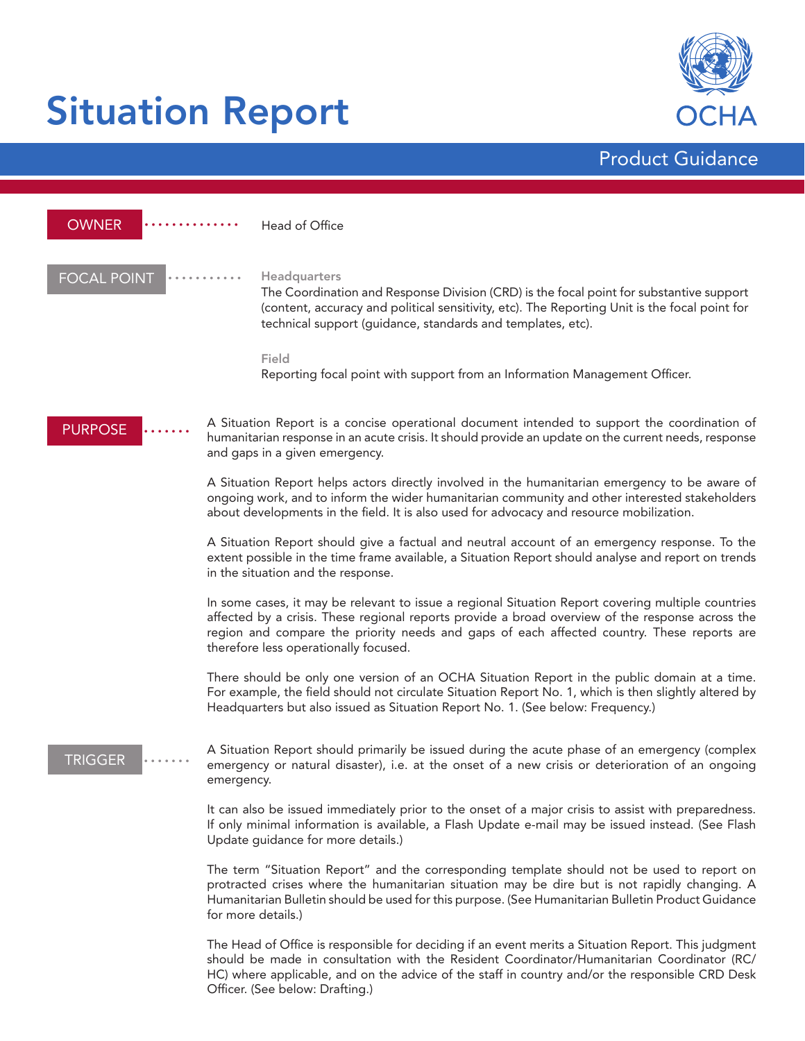# Situation Report



•••••••••• •••••••••• •••••••••••••••• **FOCAL POINT**  $\begin{bmatrix} \cdots \cdots \cdots \cdots \end{bmatrix}$ Headquarters The Coordination and Response Division (CRD) is the focal point for substantive support (content, accuracy and political sensitivity, etc). The Reporting Unit is the focal point for technical support (guidance, standards and templates, etc). Field Reporting focal point with support from an Information Management Officer. A Situation Report is a concise operational document intended to support the coordination of humanitarian response in an acute crisis. It should provide an update on the current needs, response and gaps in a given emergency. A Situation Report helps actors directly involved in the humanitarian emergency to be aware of ongoing work, and to inform the wider humanitarian community and other interested stakeholders about developments in the field. It is also used for advocacy and resource mobilization. A Situation Report should give a factual and neutral account of an emergency response. To the extent possible in the time frame available, a Situation Report should analyse and report on trends in the situation and the response. In some cases, it may be relevant to issue a regional Situation Report covering multiple countries affected by a crisis. These regional reports provide a broad overview of the response across the region and compare the priority needs and gaps of each affected country. These reports are therefore less operationally focused. There should be only one version of an OCHA Situation Report in the public domain at a time. For example, the field should not circulate Situation Report No. 1, which is then slightly altered by Headquarters but also issued as Situation Report No. 1. (See below: Frequency.) PURPOSE Product Guidance **OWNER** Head of Office A Situation Report should primarily be issued during the acute phase of an emergency (complex emergency or natural disaster), i.e. at the onset of a new crisis or deterioration of an ongoing emergency. It can also be issued immediately prior to the onset of a major crisis to assist with preparedness. If only minimal information is available, a Flash Update e-mail may be issued instead. (See Flash Update guidance for more details.) The term "Situation Report" and the corresponding template should not be used to report on protracted crises where the humanitarian situation may be dire but is not rapidly changing. A Humanitarian Bulletin should be used for this purpose. (See Humanitarian Bulletin Product Guidance for more details.) **TRIGGER** 

The Head of Office is responsible for deciding if an event merits a Situation Report. This judgment should be made in consultation with the Resident Coordinator/Humanitarian Coordinator (RC/ HC) where applicable, and on the advice of the staff in country and/or the responsible CRD Desk Officer. (See below: Drafting.)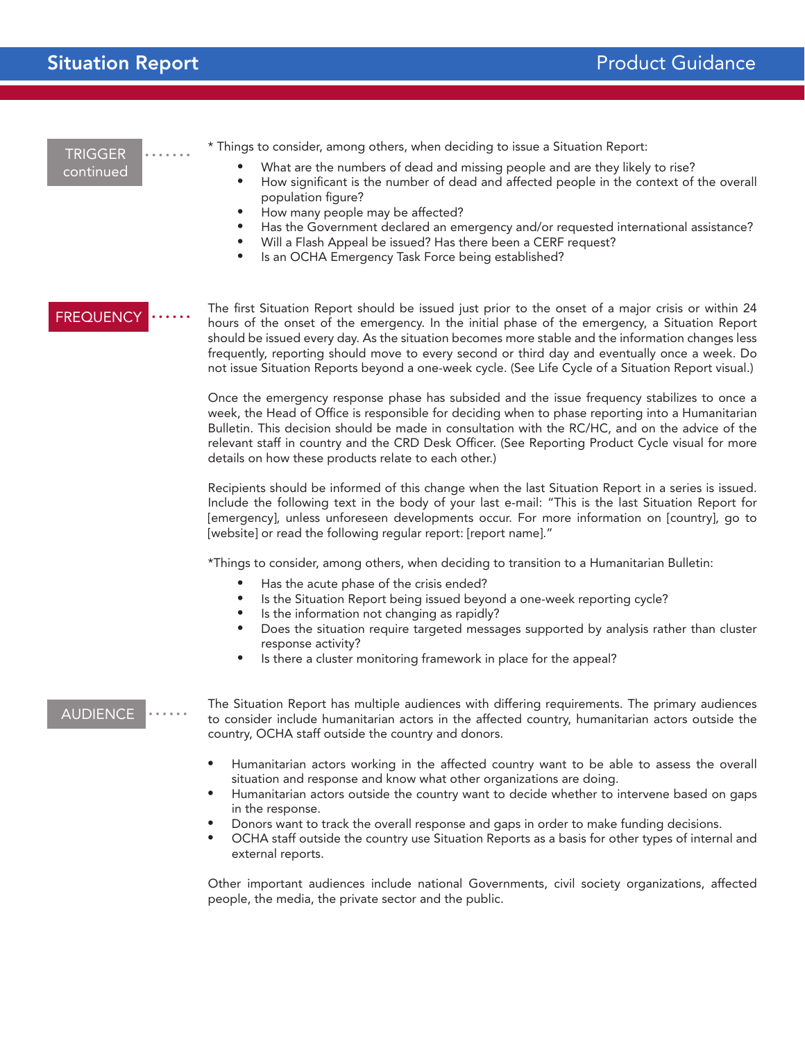| <b>TRIGGER</b><br>continued | * Things to consider, among others, when deciding to issue a Situation Report:<br>What are the numbers of dead and missing people and are they likely to rise?<br>$\bullet$<br>How significant is the number of dead and affected people in the context of the overall<br>$\bullet$<br>population figure?<br>How many people may be affected?<br>$\bullet$<br>Has the Government declared an emergency and/or requested international assistance?<br>Will a Flash Appeal be issued? Has there been a CERF request?<br>$\bullet$<br>Is an OCHA Emergency Task Force being established?<br>$\bullet$ |
|-----------------------------|----------------------------------------------------------------------------------------------------------------------------------------------------------------------------------------------------------------------------------------------------------------------------------------------------------------------------------------------------------------------------------------------------------------------------------------------------------------------------------------------------------------------------------------------------------------------------------------------------|
| <b>FREQUENCY</b>            | The first Situation Report should be issued just prior to the onset of a major crisis or within 24<br>hours of the onset of the emergency. In the initial phase of the emergency, a Situation Report<br>should be issued every day. As the situation becomes more stable and the information changes less<br>frequently, reporting should move to every second or third day and eventually once a week. Do<br>not issue Situation Reports beyond a one-week cycle. (See Life Cycle of a Situation Report visual.)                                                                                  |
|                             | Once the emergency response phase has subsided and the issue frequency stabilizes to once a<br>week, the Head of Office is responsible for deciding when to phase reporting into a Humanitarian<br>Bulletin. This decision should be made in consultation with the RC/HC, and on the advice of the<br>relevant staff in country and the CRD Desk Officer. (See Reporting Product Cycle visual for more<br>details on how these products relate to each other.)                                                                                                                                     |
|                             | Recipients should be informed of this change when the last Situation Report in a series is issued.<br>Include the following text in the body of your last e-mail: "This is the last Situation Report for<br>[emergency], unless unforeseen developments occur. For more information on [country], go to<br>[website] or read the following regular report: [report name]."                                                                                                                                                                                                                         |
|                             | *Things to consider, among others, when deciding to transition to a Humanitarian Bulletin:                                                                                                                                                                                                                                                                                                                                                                                                                                                                                                         |
|                             | Has the acute phase of the crisis ended?<br>$\bullet$<br>Is the Situation Report being issued beyond a one-week reporting cycle?<br>$\bullet$<br>Is the information not changing as rapidly?<br>Does the situation require targeted messages supported by analysis rather than cluster<br>$\bullet$<br>response activity?<br>Is there a cluster monitoring framework in place for the appeal?                                                                                                                                                                                                      |
| <b>AUDIENCE</b>             | The Situation Report has multiple audiences with differing requirements. The primary audiences<br>to consider include humanitarian actors in the affected country, humanitarian actors outside the<br>country, OCHA staff outside the country and donors.                                                                                                                                                                                                                                                                                                                                          |
|                             | Humanitarian actors working in the affected country want to be able to assess the overall<br>situation and response and know what other organizations are doing.<br>Humanitarian actors outside the country want to decide whether to intervene based on gaps<br>$\bullet$<br>in the response.<br>Donors want to track the overall response and gaps in order to make funding decisions.<br>OCHA staff outside the country use Situation Reports as a basis for other types of internal and<br>external reports.                                                                                   |
|                             | Other important audiences include national Governments, civil society organizations, affected<br>people, the media, the private sector and the public.                                                                                                                                                                                                                                                                                                                                                                                                                                             |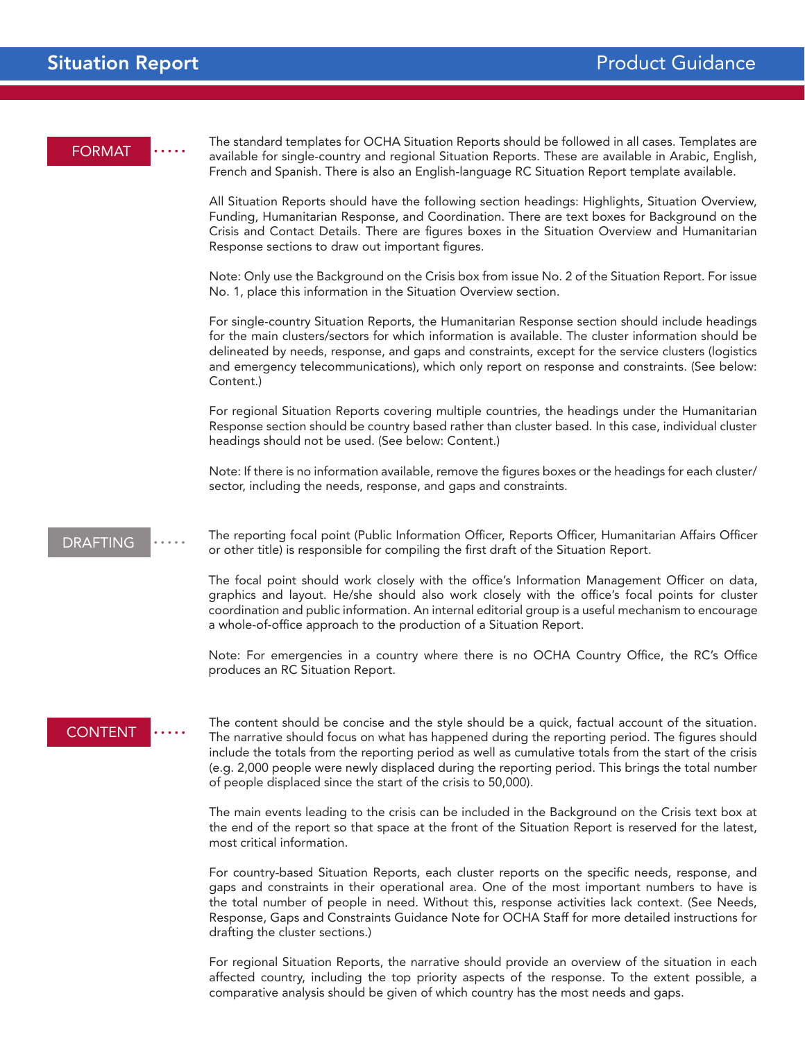| <b>FORMAT</b>   | The standard templates for OCHA Situation Reports should be followed in all cases. Templates are<br>available for single-country and regional Situation Reports. These are available in Arabic, English,<br>French and Spanish. There is also an English-language RC Situation Report template available.                                                                                                                                                                           |
|-----------------|-------------------------------------------------------------------------------------------------------------------------------------------------------------------------------------------------------------------------------------------------------------------------------------------------------------------------------------------------------------------------------------------------------------------------------------------------------------------------------------|
|                 | All Situation Reports should have the following section headings: Highlights, Situation Overview,<br>Funding, Humanitarian Response, and Coordination. There are text boxes for Background on the<br>Crisis and Contact Details. There are figures boxes in the Situation Overview and Humanitarian<br>Response sections to draw out important figures.                                                                                                                             |
|                 | Note: Only use the Background on the Crisis box from issue No. 2 of the Situation Report. For issue<br>No. 1, place this information in the Situation Overview section.                                                                                                                                                                                                                                                                                                             |
|                 | For single-country Situation Reports, the Humanitarian Response section should include headings<br>for the main clusters/sectors for which information is available. The cluster information should be<br>delineated by needs, response, and gaps and constraints, except for the service clusters (logistics<br>and emergency telecommunications), which only report on response and constraints. (See below:<br>Content.)                                                         |
|                 | For regional Situation Reports covering multiple countries, the headings under the Humanitarian<br>Response section should be country based rather than cluster based. In this case, individual cluster<br>headings should not be used. (See below: Content.)                                                                                                                                                                                                                       |
|                 | Note: If there is no information available, remove the figures boxes or the headings for each cluster/<br>sector, including the needs, response, and gaps and constraints.                                                                                                                                                                                                                                                                                                          |
| <b>DRAFTING</b> | The reporting focal point (Public Information Officer, Reports Officer, Humanitarian Affairs Officer<br>or other title) is responsible for compiling the first draft of the Situation Report.                                                                                                                                                                                                                                                                                       |
|                 | The focal point should work closely with the office's Information Management Officer on data,<br>graphics and layout. He/she should also work closely with the office's focal points for cluster<br>coordination and public information. An internal editorial group is a useful mechanism to encourage<br>a whole-of-office approach to the production of a Situation Report.                                                                                                      |
|                 | Note: For emergencies in a country where there is no OCHA Country Office, the RC's Office<br>produces an RC Situation Report.                                                                                                                                                                                                                                                                                                                                                       |
| <b>CONTENT</b>  | The content should be concise and the style should be a quick, factual account of the situation.<br>The narrative should focus on what has happened during the reporting period. The figures should<br>include the totals from the reporting period as well as cumulative totals from the start of the crisis<br>(e.g. 2,000 people were newly displaced during the reporting period. This brings the total number<br>of people displaced since the start of the crisis to 50,000). |
|                 | The main events leading to the crisis can be included in the Background on the Crisis text box at<br>the end of the report so that space at the front of the Situation Report is reserved for the latest,<br>most critical information.                                                                                                                                                                                                                                             |
|                 | For country-based Situation Reports, each cluster reports on the specific needs, response, and<br>gaps and constraints in their operational area. One of the most important numbers to have is<br>the total number of people in need. Without this, response activities lack context. (See Needs,<br>Response, Gaps and Constraints Guidance Note for OCHA Staff for more detailed instructions for<br>drafting the cluster sections.)                                              |

For regional Situation Reports, the narrative should provide an overview of the situation in each affected country, including the top priority aspects of the response. To the extent possible, a comparative analysis should be given of which country has the most needs and gaps.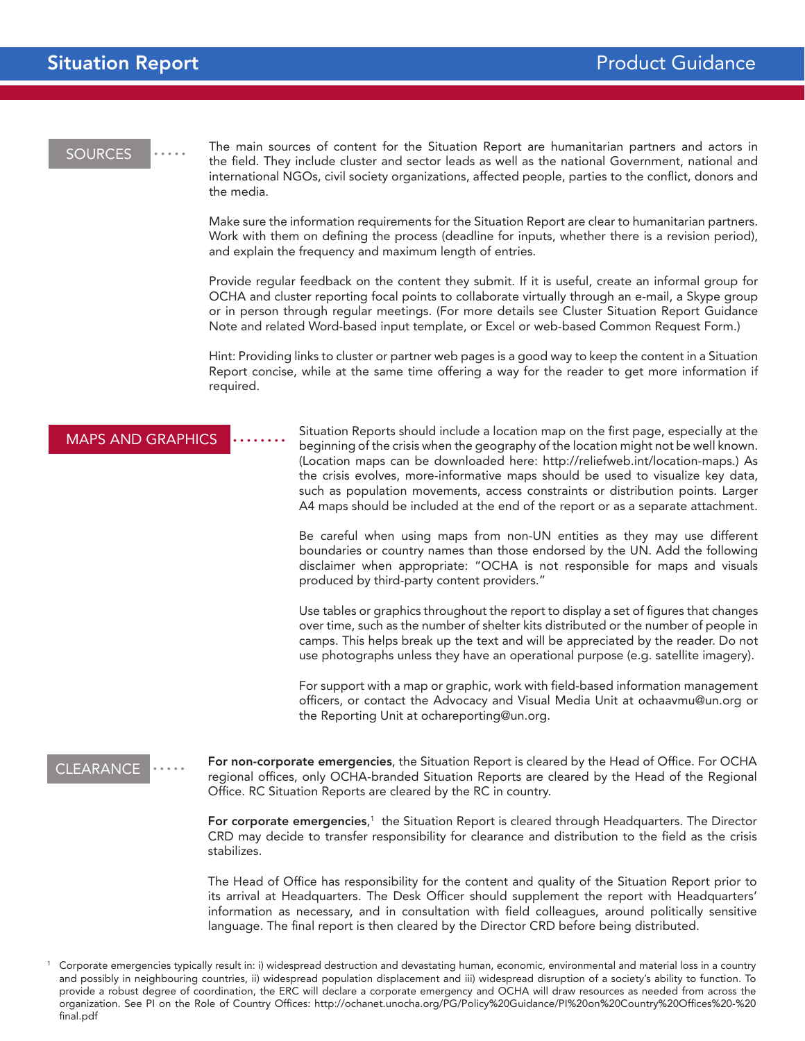### **SOURCES**

The main sources of content for the Situation Report are humanitarian partners and actors in the field. They include cluster and sector leads as well as the national Government, national and international NGOs, civil society organizations, affected people, parties to the conflict, donors and the media.

Make sure the information requirements for the Situation Report are clear to humanitarian partners. Work with them on defining the process (deadline for inputs, whether there is a revision period), and explain the frequency and maximum length of entries.

Provide regular feedback on the content they submit. If it is useful, create an informal group for OCHA and cluster reporting focal points to collaborate virtually through an e-mail, a Skype group or in person through regular meetings. (For more details see Cluster Situation Report Guidance Note and related Word-based input template, or Excel or web-based Common Request Form.)

Hint: Providing links to cluster or partner web pages is a good way to keep the content in a Situation Report concise, while at the same time offering a way for the reader to get more information if required.

#### MAPS AND GRAPHICS

Situation Reports should include a location map on the first page, especially at the beginning of the crisis when the geography of the location might not be well known. (Location maps can be downloaded here: http://reliefweb.int/location-maps.) As the crisis evolves, more-informative maps should be used to visualize key data, such as population movements, access constraints or distribution points. Larger A4 maps should be included at the end of the report or as a separate attachment.

Be careful when using maps from non-UN entities as they may use different boundaries or country names than those endorsed by the UN. Add the following disclaimer when appropriate: "OCHA is not responsible for maps and visuals produced by third-party content providers."

Use tables or graphics throughout the report to display a set of figures that changes over time, such as the number of shelter kits distributed or the number of people in camps. This helps break up the text and will be appreciated by the reader. Do not use photographs unless they have an operational purpose (e.g. satellite imagery).

For support with a map or graphic, work with field-based information management officers, or contact the Advocacy and Visual Media Unit at ochaavmu@un.org or the Reporting Unit at ochareporting@un.org.

## CLEARANCE

For non-corporate emergencies, the Situation Report is cleared by the Head of Office. For OCHA regional offices, only OCHA-branded Situation Reports are cleared by the Head of the Regional Office. RC Situation Reports are cleared by the RC in country.

For corporate emergencies,<sup>1</sup> the Situation Report is cleared through Headquarters. The Director CRD may decide to transfer responsibility for clearance and distribution to the field as the crisis stabilizes.

The Head of Office has responsibility for the content and quality of the Situation Report prior to its arrival at Headquarters. The Desk Officer should supplement the report with Headquarters' information as necessary, and in consultation with field colleagues, around politically sensitive language. The final report is then cleared by the Director CRD before being distributed.

<sup>1</sup> Corporate emergencies typically result in: i) widespread destruction and devastating human, economic, environmental and material loss in a country and possibly in neighbouring countries, ii) widespread population displacement and iii) widespread disruption of a society's ability to function. To provide a robust degree of coordination, the ERC will declare a corporate emergency and OCHA will draw resources as needed from across the organization. See PI on the Role of Country Offices: http://ochanet.unocha.org/PG/Policy%20Guidance/PI%20on%20Country%20Offices%20-%20 final.pdf